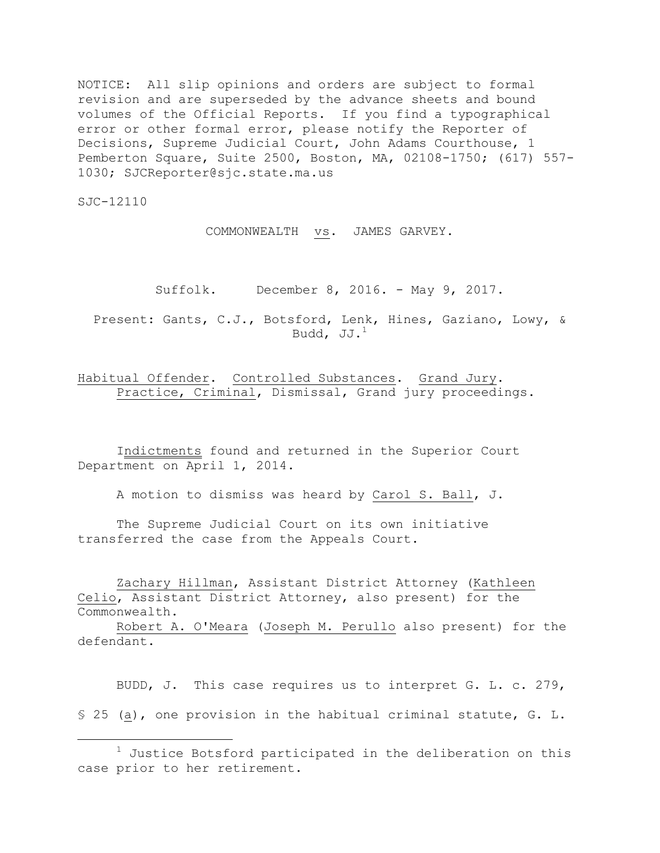NOTICE: All slip opinions and orders are subject to formal revision and are superseded by the advance sheets and bound volumes of the Official Reports. If you find a typographical error or other formal error, please notify the Reporter of Decisions, Supreme Judicial Court, John Adams Courthouse, 1 Pemberton Square, Suite 2500, Boston, MA, 02108-1750; (617) 557- 1030; SJCReporter@sjc.state.ma.us

SJC-12110

i<br>L

COMMONWEALTH vs. JAMES GARVEY.

Suffolk. December 8, 2016. - May 9, 2017.

Present: Gants, C.J., Botsford, Lenk, Hines, Gaziano, Lowy, & Budd,  $JJ.^1$ 

Habitual Offender. Controlled Substances. Grand Jury. Practice, Criminal, Dismissal, Grand jury proceedings.

Indictments found and returned in the Superior Court Department on April 1, 2014.

A motion to dismiss was heard by Carol S. Ball, J.

The Supreme Judicial Court on its own initiative transferred the case from the Appeals Court.

Zachary Hillman, Assistant District Attorney (Kathleen Celio, Assistant District Attorney, also present) for the Commonwealth.

Robert A. O'Meara (Joseph M. Perullo also present) for the defendant.

BUDD, J. This case requires us to interpret G. L. c. 279, § 25 (a), one provision in the habitual criminal statute, G. L.

 $1$  Justice Botsford participated in the deliberation on this case prior to her retirement.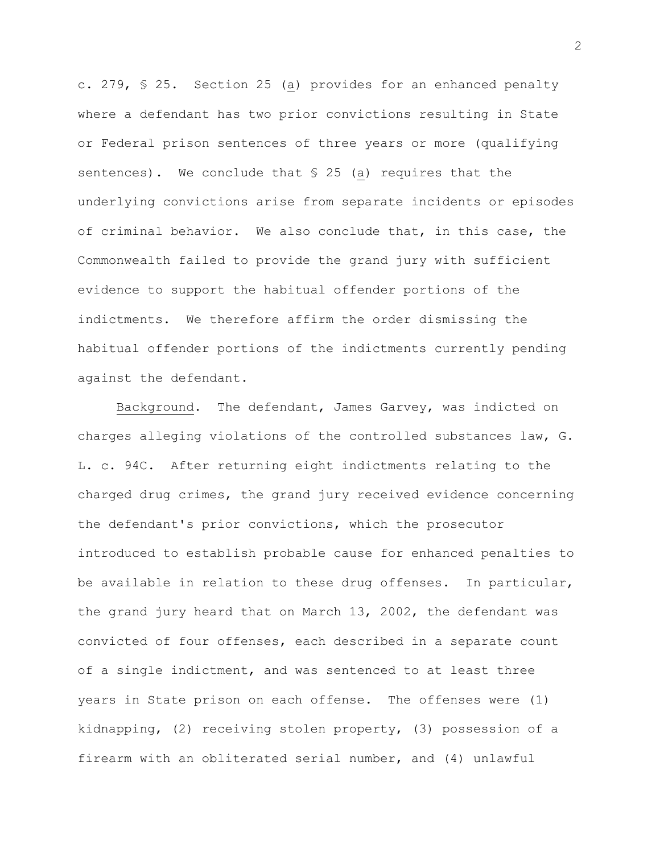c. 279, § 25. Section 25 (a) provides for an enhanced penalty where a defendant has two prior convictions resulting in State or Federal prison sentences of three years or more (qualifying sentences). We conclude that § 25 (a) requires that the underlying convictions arise from separate incidents or episodes of criminal behavior. We also conclude that, in this case, the Commonwealth failed to provide the grand jury with sufficient evidence to support the habitual offender portions of the indictments. We therefore affirm the order dismissing the habitual offender portions of the indictments currently pending against the defendant.

Background. The defendant, James Garvey, was indicted on charges alleging violations of the controlled substances law, G. L. c. 94C. After returning eight indictments relating to the charged drug crimes, the grand jury received evidence concerning the defendant's prior convictions, which the prosecutor introduced to establish probable cause for enhanced penalties to be available in relation to these drug offenses. In particular, the grand jury heard that on March 13, 2002, the defendant was convicted of four offenses, each described in a separate count of a single indictment, and was sentenced to at least three years in State prison on each offense. The offenses were (1) kidnapping, (2) receiving stolen property, (3) possession of a firearm with an obliterated serial number, and (4) unlawful

2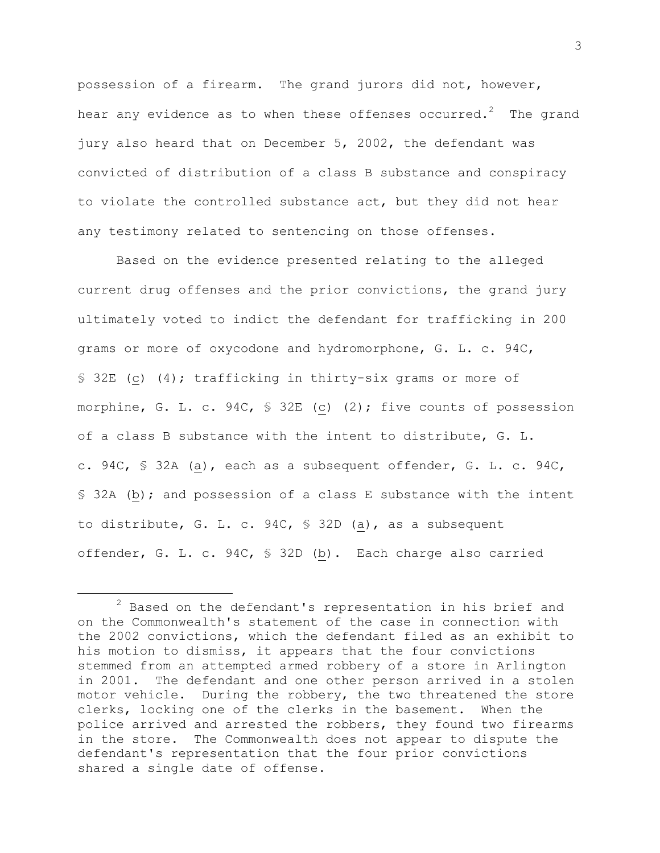possession of a firearm. The grand jurors did not, however, hear any evidence as to when these offenses occurred. $^2$  The grand jury also heard that on December 5, 2002, the defendant was convicted of distribution of a class B substance and conspiracy to violate the controlled substance act, but they did not hear any testimony related to sentencing on those offenses.

Based on the evidence presented relating to the alleged current drug offenses and the prior convictions, the grand jury ultimately voted to indict the defendant for trafficking in 200 grams or more of oxycodone and hydromorphone, G. L. c. 94C, § 32E (c) (4); trafficking in thirty-six grams or more of morphine, G. L. c. 94C, § 32E (c) (2); five counts of possession of a class B substance with the intent to distribute, G. L. c. 94C, § 32A (a), each as a subsequent offender, G. L. c. 94C, § 32A (b); and possession of a class E substance with the intent to distribute, G. L. c. 94C, § 32D (a), as a subsequent offender, G. L. c. 94C, § 32D (b). Each charge also carried

 $2$  Based on the defendant's representation in his brief and on the Commonwealth's statement of the case in connection with the 2002 convictions, which the defendant filed as an exhibit to his motion to dismiss, it appears that the four convictions stemmed from an attempted armed robbery of a store in Arlington in 2001. The defendant and one other person arrived in a stolen motor vehicle. During the robbery, the two threatened the store clerks, locking one of the clerks in the basement. When the police arrived and arrested the robbers, they found two firearms in the store. The Commonwealth does not appear to dispute the defendant's representation that the four prior convictions shared a single date of offense.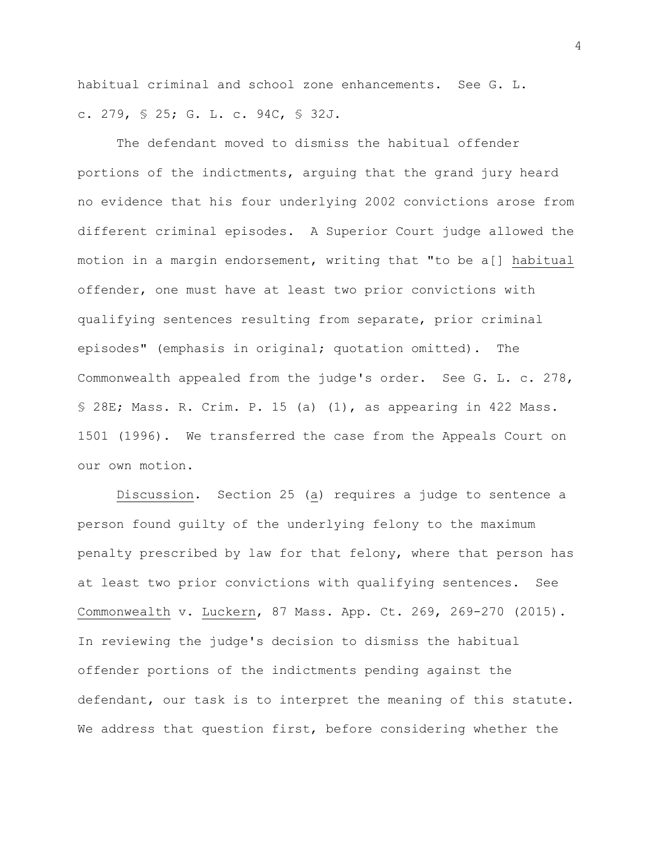habitual criminal and school zone enhancements. See G. L. c. 279, § 25; G. L. c. 94C, § 32J.

The defendant moved to dismiss the habitual offender portions of the indictments, arguing that the grand jury heard no evidence that his four underlying 2002 convictions arose from different criminal episodes. A Superior Court judge allowed the motion in a margin endorsement, writing that "to be a[] habitual offender, one must have at least two prior convictions with qualifying sentences resulting from separate, prior criminal episodes" (emphasis in original; quotation omitted). The Commonwealth appealed from the judge's order. See G. L. c. 278, § 28E; Mass. R. Crim. P. 15 (a) (1), as appearing in 422 Mass. 1501 (1996). We transferred the case from the Appeals Court on our own motion.

Discussion. Section 25 (a) requires a judge to sentence a person found guilty of the underlying felony to the maximum penalty prescribed by law for that felony, where that person has at least two prior convictions with qualifying sentences. See Commonwealth v. Luckern, 87 Mass. App. Ct. 269, 269-270 (2015). In reviewing the judge's decision to dismiss the habitual offender portions of the indictments pending against the defendant, our task is to interpret the meaning of this statute. We address that question first, before considering whether the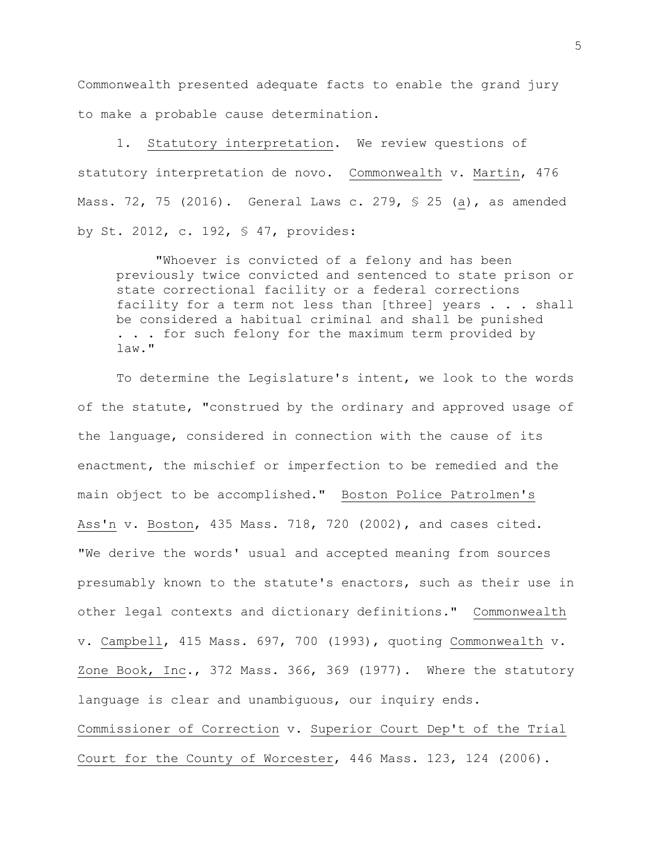Commonwealth presented adequate facts to enable the grand jury to make a probable cause determination.

1. Statutory interpretation. We review questions of statutory interpretation de novo. Commonwealth v. Martin, 476 Mass. 72, 75 (2016). General Laws c. 279, § 25 (a), as amended by St. 2012, c. 192, § 47, provides:

"Whoever is convicted of a felony and has been previously twice convicted and sentenced to state prison or state correctional facility or a federal corrections facility for a term not less than [three] years . . . shall be considered a habitual criminal and shall be punished . . . for such felony for the maximum term provided by law."

To determine the Legislature's intent, we look to the words of the statute, "construed by the ordinary and approved usage of the language, considered in connection with the cause of its enactment, the mischief or imperfection to be remedied and the main object to be accomplished." Boston Police Patrolmen's Ass'n v. Boston, 435 Mass. 718, 720 (2002), and cases cited. "We derive the words' usual and accepted meaning from sources presumably known to the statute's enactors, such as their use in other legal contexts and dictionary definitions." Commonwealth v. Campbell, 415 Mass. 697, 700 (1993), quoting Commonwealth v. Zone Book, Inc., 372 Mass. 366, 369 (1977). Where the statutory language is clear and unambiguous, our inquiry ends. Commissioner of Correction v. Superior Court Dep't of the Trial Court for the County of Worcester, 446 Mass. 123, 124 (2006).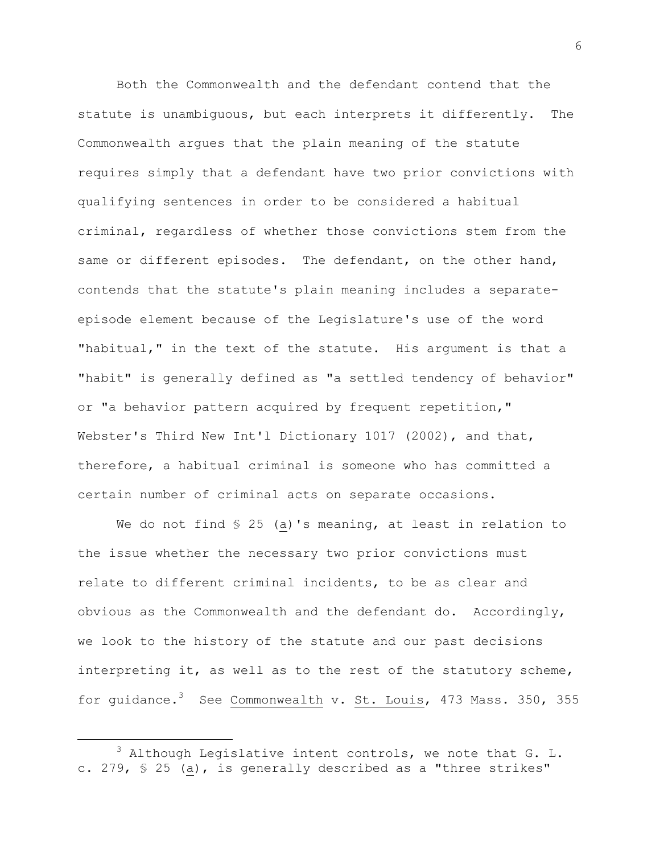Both the Commonwealth and the defendant contend that the statute is unambiguous, but each interprets it differently. The Commonwealth argues that the plain meaning of the statute requires simply that a defendant have two prior convictions with qualifying sentences in order to be considered a habitual criminal, regardless of whether those convictions stem from the same or different episodes. The defendant, on the other hand, contends that the statute's plain meaning includes a separateepisode element because of the Legislature's use of the word "habitual," in the text of the statute. His argument is that a "habit" is generally defined as "a settled tendency of behavior" or "a behavior pattern acquired by frequent repetition," Webster's Third New Int'l Dictionary 1017 (2002), and that, therefore, a habitual criminal is someone who has committed a certain number of criminal acts on separate occasions.

We do not find § 25 (a)'s meaning, at least in relation to the issue whether the necessary two prior convictions must relate to different criminal incidents, to be as clear and obvious as the Commonwealth and the defendant do. Accordingly, we look to the history of the statute and our past decisions interpreting it, as well as to the rest of the statutory scheme, for guidance.<sup>3</sup> See Commonwealth v. St. Louis, 473 Mass. 350, 355

 $3$  Although Legislative intent controls, we note that G. L. c. 279, § 25 (a), is generally described as a "three strikes"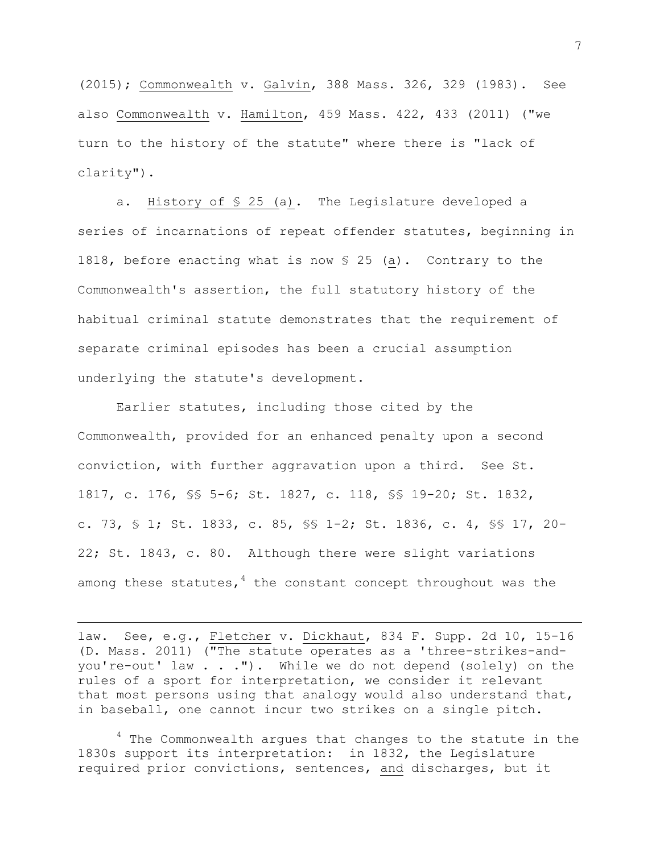(2015); Commonwealth v. Galvin, 388 Mass. 326, 329 (1983). See also Commonwealth v. Hamilton, 459 Mass. 422, 433 (2011) ("we turn to the history of the statute" where there is "lack of clarity").

a. History of § 25 (a). The Legislature developed a series of incarnations of repeat offender statutes, beginning in 1818, before enacting what is now § 25 (a). Contrary to the Commonwealth's assertion, the full statutory history of the habitual criminal statute demonstrates that the requirement of separate criminal episodes has been a crucial assumption underlying the statute's development.

Earlier statutes, including those cited by the Commonwealth, provided for an enhanced penalty upon a second conviction, with further aggravation upon a third. See St. 1817, c. 176, §§ 5-6; St. 1827, c. 118, §§ 19-20; St. 1832, c. 73, § 1; St. 1833, c. 85, §§ 1-2; St. 1836, c. 4, §§ 17, 20- 22; St. 1843, c. 80. Although there were slight variations among these statutes,  $4$  the constant concept throughout was the

law. See, e.g., Fletcher v. Dickhaut, 834 F. Supp. 2d 10, 15-16 (D. Mass. 2011) ("The statute operates as a 'three-strikes-andyou're-out' law . . ."). While we do not depend (solely) on the rules of a sport for interpretation, we consider it relevant that most persons using that analogy would also understand that, in baseball, one cannot incur two strikes on a single pitch.

i<br>L

 $4$  The Commonwealth arques that changes to the statute in the 1830s support its interpretation: in 1832, the Legislature required prior convictions, sentences, and discharges, but it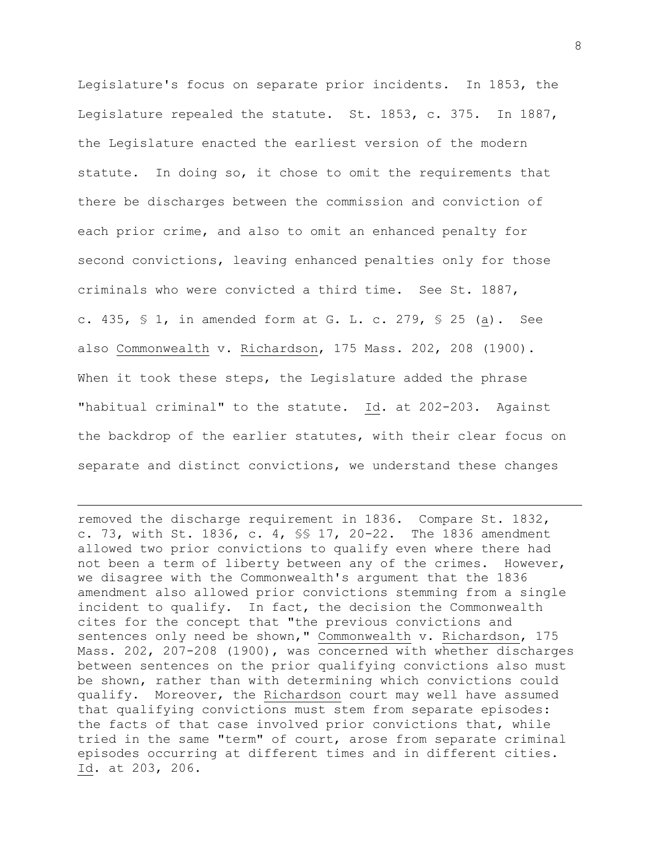Legislature's focus on separate prior incidents. In 1853, the Legislature repealed the statute. St. 1853, c. 375. In 1887, the Legislature enacted the earliest version of the modern statute. In doing so, it chose to omit the requirements that there be discharges between the commission and conviction of each prior crime, and also to omit an enhanced penalty for second convictions, leaving enhanced penalties only for those criminals who were convicted a third time. See St. 1887, c. 435, § 1, in amended form at G. L. c. 279, § 25 (a). See also Commonwealth v. Richardson, 175 Mass. 202, 208 (1900). When it took these steps, the Legislature added the phrase "habitual criminal" to the statute. Id. at 202-203. Against the backdrop of the earlier statutes, with their clear focus on separate and distinct convictions, we understand these changes

removed the discharge requirement in 1836. Compare St. 1832, c. 73, with St. 1836, c. 4, §§ 17, 20-22. The 1836 amendment allowed two prior convictions to qualify even where there had not been a term of liberty between any of the crimes. However, we disagree with the Commonwealth's argument that the 1836 amendment also allowed prior convictions stemming from a single incident to qualify. In fact, the decision the Commonwealth cites for the concept that "the previous convictions and sentences only need be shown," Commonwealth v. Richardson, 175 Mass. 202, 207-208 (1900), was concerned with whether discharges between sentences on the prior qualifying convictions also must be shown, rather than with determining which convictions could qualify. Moreover, the Richardson court may well have assumed that qualifying convictions must stem from separate episodes: the facts of that case involved prior convictions that, while tried in the same "term" of court, arose from separate criminal episodes occurring at different times and in different cities. Id. at 203, 206.

L,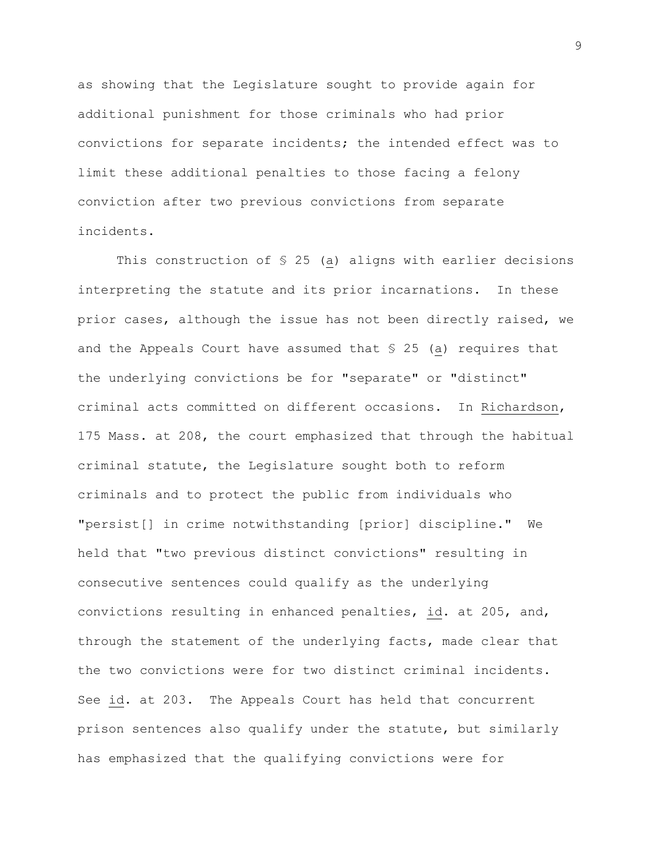as showing that the Legislature sought to provide again for additional punishment for those criminals who had prior convictions for separate incidents; the intended effect was to limit these additional penalties to those facing a felony conviction after two previous convictions from separate incidents.

This construction of § 25 (a) aligns with earlier decisions interpreting the statute and its prior incarnations. In these prior cases, although the issue has not been directly raised, we and the Appeals Court have assumed that § 25 (a) requires that the underlying convictions be for "separate" or "distinct" criminal acts committed on different occasions. In Richardson, 175 Mass. at 208, the court emphasized that through the habitual criminal statute, the Legislature sought both to reform criminals and to protect the public from individuals who "persist[] in crime notwithstanding [prior] discipline." We held that "two previous distinct convictions" resulting in consecutive sentences could qualify as the underlying convictions resulting in enhanced penalties, id. at 205, and, through the statement of the underlying facts, made clear that the two convictions were for two distinct criminal incidents. See id. at 203. The Appeals Court has held that concurrent prison sentences also qualify under the statute, but similarly has emphasized that the qualifying convictions were for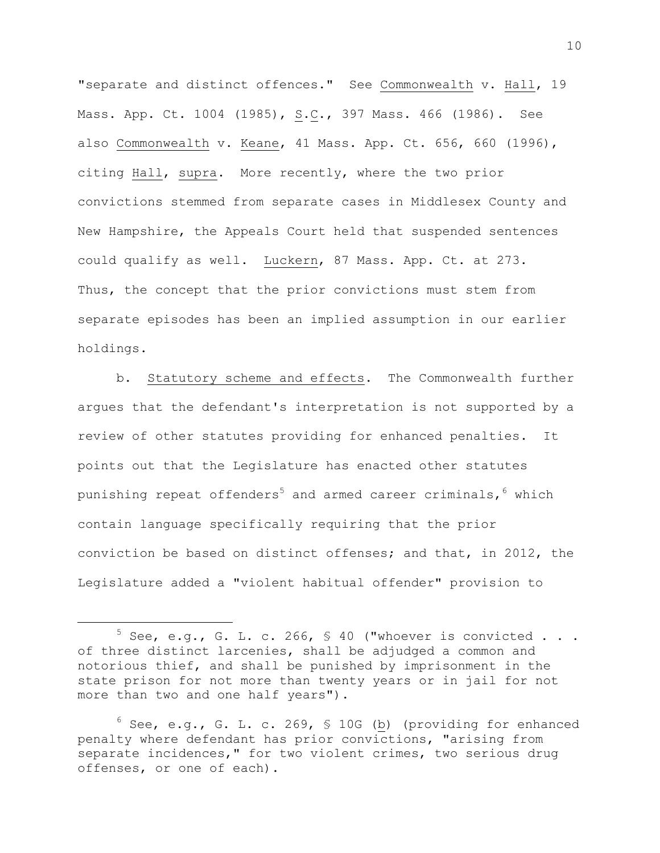"separate and distinct offences." See Commonwealth v. Hall, 19 Mass. App. Ct. 1004 (1985), S.C., 397 Mass. 466 (1986). See also Commonwealth v. Keane, 41 Mass. App. Ct. 656, 660 (1996), citing Hall, supra. More recently, where the two prior convictions stemmed from separate cases in Middlesex County and New Hampshire, the Appeals Court held that suspended sentences could qualify as well. Luckern, 87 Mass. App. Ct. at 273. Thus, the concept that the prior convictions must stem from separate episodes has been an implied assumption in our earlier holdings.

b. Statutory scheme and effects. The Commonwealth further argues that the defendant's interpretation is not supported by a review of other statutes providing for enhanced penalties. It points out that the Legislature has enacted other statutes punishing repeat offenders<sup>5</sup> and armed career criminals,  $6$  which contain language specifically requiring that the prior conviction be based on distinct offenses; and that, in 2012, the Legislature added a "violent habitual offender" provision to

 $5$  See, e.g., G. L. c. 266, § 40 ("whoever is convicted . . . of three distinct larcenies, shall be adjudged a common and notorious thief, and shall be punished by imprisonment in the state prison for not more than twenty years or in jail for not more than two and one half years").

 $^6$  See, e.g., G. L. c. 269, § 10G (b) (providing for enhanced penalty where defendant has prior convictions, "arising from separate incidences," for two violent crimes, two serious drug offenses, or one of each).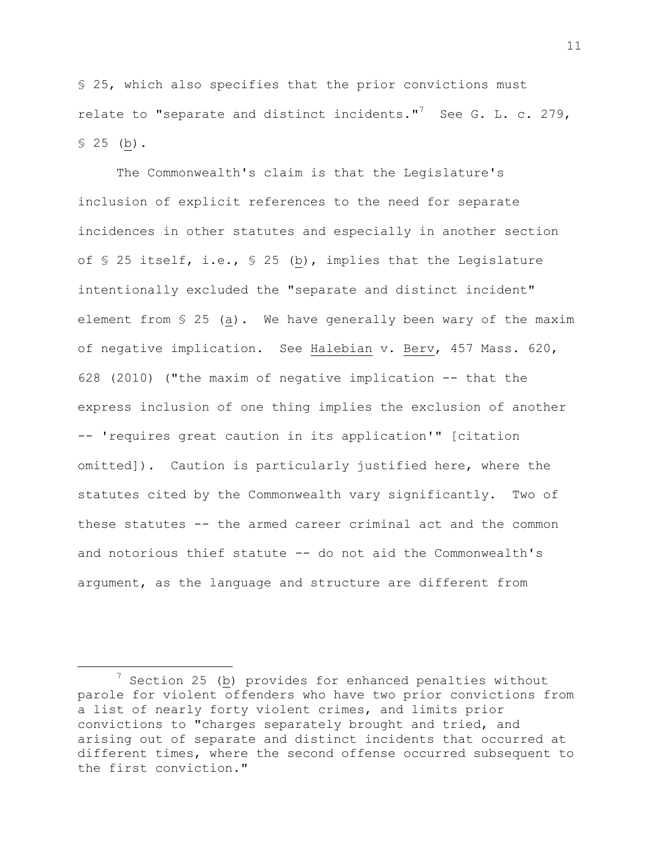§ 25, which also specifies that the prior convictions must relate to "separate and distinct incidents."<sup>7</sup> See G. L. c. 279,  $$25$  (b).

The Commonwealth's claim is that the Legislature's inclusion of explicit references to the need for separate incidences in other statutes and especially in another section of § 25 itself, i.e., § 25 (b), implies that the Legislature intentionally excluded the "separate and distinct incident" element from § 25 (a). We have generally been wary of the maxim of negative implication. See Halebian v. Berv, 457 Mass. 620, 628 (2010) ("the maxim of negative implication -- that the express inclusion of one thing implies the exclusion of another -- 'requires great caution in its application'" [citation omitted]). Caution is particularly justified here, where the statutes cited by the Commonwealth vary significantly. Two of these statutes -- the armed career criminal act and the common and notorious thief statute -- do not aid the Commonwealth's argument, as the language and structure are different from

<sup>7</sup> Section 25 (b) provides for enhanced penalties without parole for violent offenders who have two prior convictions from a list of nearly forty violent crimes, and limits prior convictions to "charges separately brought and tried, and arising out of separate and distinct incidents that occurred at different times, where the second offense occurred subsequent to the first conviction."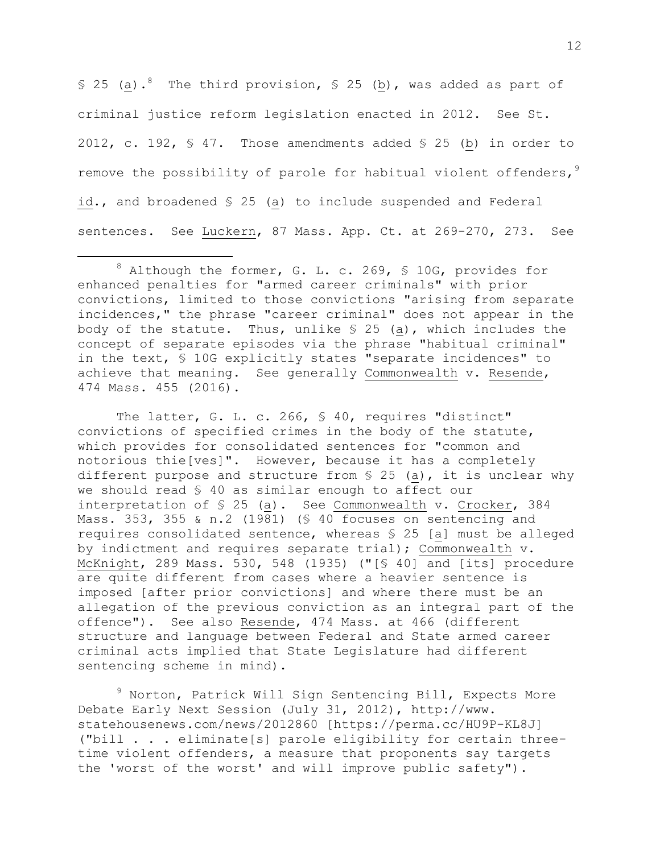§ 25 (a).<sup>8</sup> The third provision, § 25 (b), was added as part of criminal justice reform legislation enacted in 2012. See St. 2012, c. 192, § 47. Those amendments added § 25 (b) in order to remove the possibility of parole for habitual violent offenders,  $9$ id., and broadened § 25 (a) to include suspended and Federal sentences. See Luckern, 87 Mass. App. Ct. at 269-270, 273. See

i<br>L

The latter, G. L. c. 266, § 40, requires "distinct" convictions of specified crimes in the body of the statute, which provides for consolidated sentences for "common and notorious thie[ves]". However, because it has a completely different purpose and structure from § 25 (a), it is unclear why we should read § 40 as similar enough to affect our interpretation of § 25 (a). See Commonwealth v. Crocker, 384 Mass. 353, 355 & n.2 (1981) (§ 40 focuses on sentencing and requires consolidated sentence, whereas § 25 [a] must be alleged by indictment and requires separate trial); Commonwealth v. McKnight, 289 Mass. 530, 548 (1935) ("[§ 40] and [its] procedure are quite different from cases where a heavier sentence is imposed [after prior convictions] and where there must be an allegation of the previous conviction as an integral part of the offence"). See also Resende, 474 Mass. at 466 (different structure and language between Federal and State armed career criminal acts implied that State Legislature had different sentencing scheme in mind).

<sup>9</sup> Norton, Patrick Will Sign Sentencing Bill, Expects More Debate Early Next Session (July 31, 2012), http://www. statehousenews.com/news/2012860 [https://perma.cc/HU9P-KL8J] ("bill . . . eliminate[s] parole eligibility for certain threetime violent offenders, a measure that proponents say targets the 'worst of the worst' and will improve public safety").

 $8$  Although the former, G. L. c. 269, § 10G, provides for enhanced penalties for "armed career criminals" with prior convictions, limited to those convictions "arising from separate incidences," the phrase "career criminal" does not appear in the body of the statute. Thus, unlike  $S$  25 (a), which includes the concept of separate episodes via the phrase "habitual criminal" in the text, § 10G explicitly states "separate incidences" to achieve that meaning. See generally Commonwealth v. Resende, 474 Mass. 455 (2016).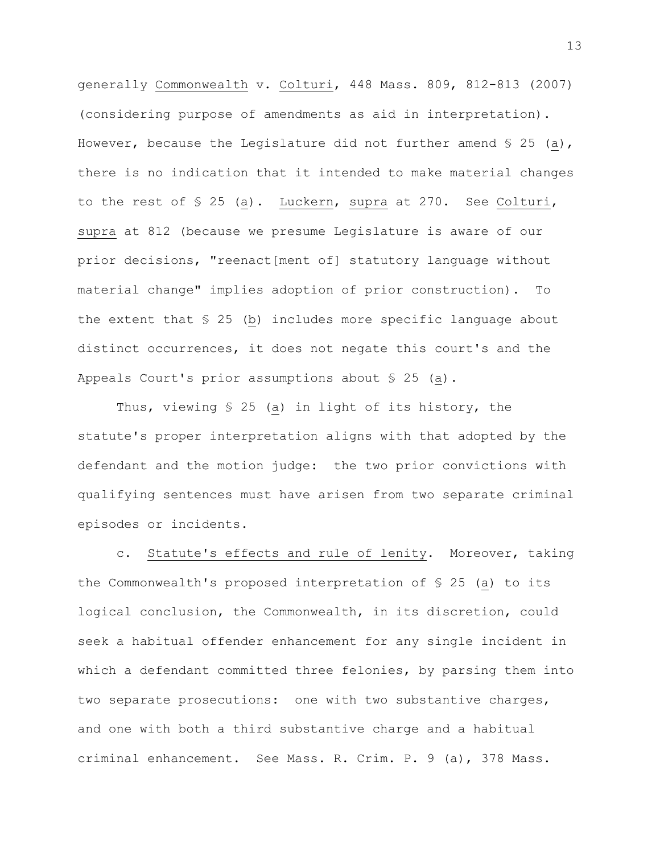generally Commonwealth v. Colturi, 448 Mass. 809, 812-813 (2007) (considering purpose of amendments as aid in interpretation). However, because the Legislature did not further amend  $\S$  25 (a), there is no indication that it intended to make material changes to the rest of § 25 (a). Luckern, supra at 270. See Colturi, supra at 812 (because we presume Legislature is aware of our prior decisions, "reenact[ment of] statutory language without material change" implies adoption of prior construction). To the extent that § 25 (b) includes more specific language about distinct occurrences, it does not negate this court's and the Appeals Court's prior assumptions about § 25 (a).

Thus, viewing § 25 (a) in light of its history, the statute's proper interpretation aligns with that adopted by the defendant and the motion judge: the two prior convictions with qualifying sentences must have arisen from two separate criminal episodes or incidents.

c. Statute's effects and rule of lenity. Moreover, taking the Commonwealth's proposed interpretation of § 25 (a) to its logical conclusion, the Commonwealth, in its discretion, could seek a habitual offender enhancement for any single incident in which a defendant committed three felonies, by parsing them into two separate prosecutions: one with two substantive charges, and one with both a third substantive charge and a habitual criminal enhancement. See Mass. R. Crim. P. 9 (a), 378 Mass.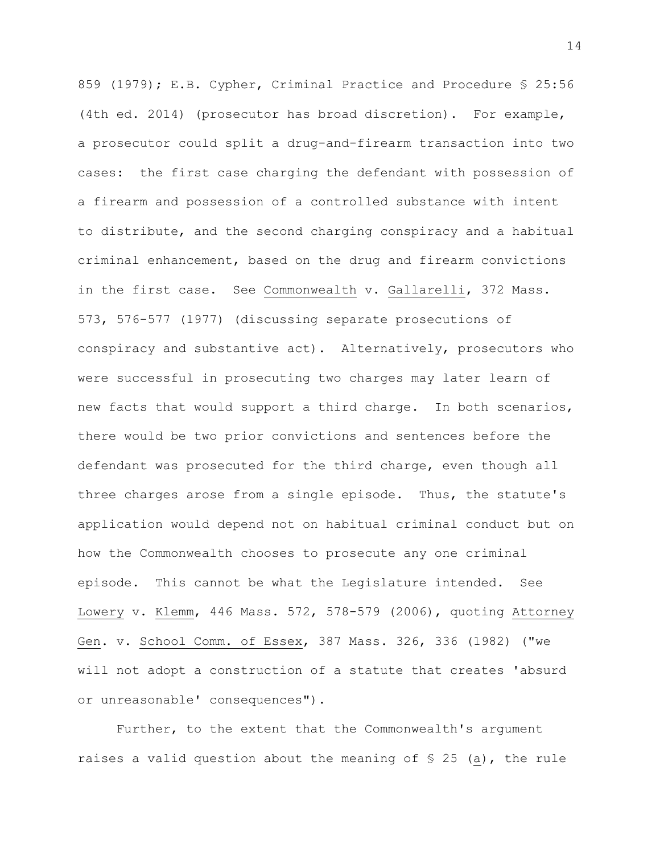859 (1979); E.B. Cypher, Criminal Practice and Procedure § 25:56 (4th ed. 2014) (prosecutor has broad discretion). For example, a prosecutor could split a drug-and-firearm transaction into two cases: the first case charging the defendant with possession of a firearm and possession of a controlled substance with intent to distribute, and the second charging conspiracy and a habitual criminal enhancement, based on the drug and firearm convictions in the first case. See Commonwealth v. Gallarelli, 372 Mass. 573, 576-577 (1977) (discussing separate prosecutions of conspiracy and substantive act). Alternatively, prosecutors who were successful in prosecuting two charges may later learn of new facts that would support a third charge. In both scenarios, there would be two prior convictions and sentences before the defendant was prosecuted for the third charge, even though all three charges arose from a single episode. Thus, the statute's application would depend not on habitual criminal conduct but on how the Commonwealth chooses to prosecute any one criminal episode. This cannot be what the Legislature intended. See Lowery v. Klemm, 446 Mass. 572, 578-579 (2006), quoting Attorney Gen. v. School Comm. of Essex, 387 Mass. 326, 336 (1982) ("we will not adopt a construction of a statute that creates 'absurd or unreasonable' consequences").

Further, to the extent that the Commonwealth's argument raises a valid question about the meaning of § 25 (a), the rule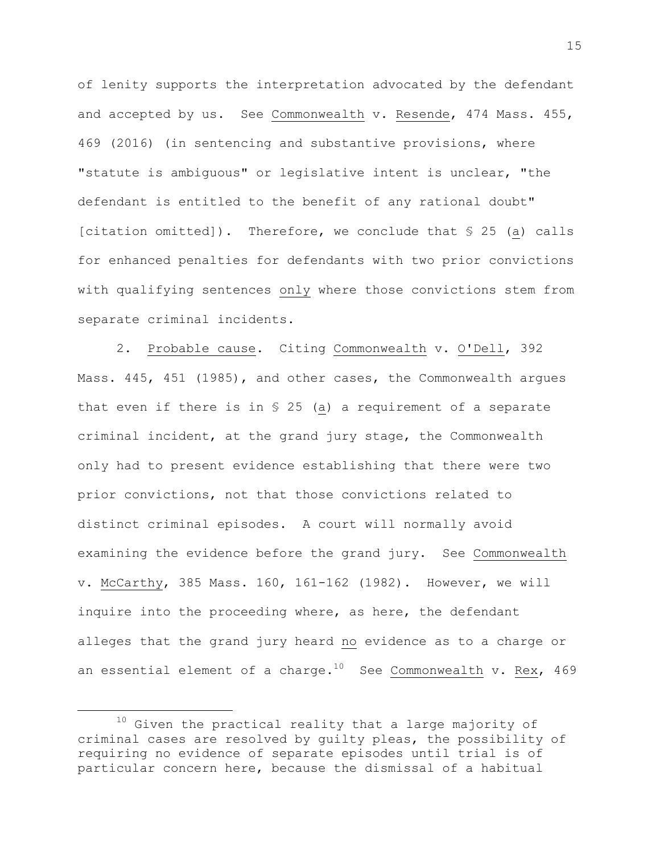of lenity supports the interpretation advocated by the defendant and accepted by us. See Commonwealth v. Resende, 474 Mass. 455, 469 (2016) (in sentencing and substantive provisions, where "statute is ambiguous" or legislative intent is unclear, "the defendant is entitled to the benefit of any rational doubt" [citation omitted]). Therefore, we conclude that § 25 (a) calls for enhanced penalties for defendants with two prior convictions with qualifying sentences only where those convictions stem from separate criminal incidents.

2. Probable cause. Citing Commonwealth v. O'Dell, 392 Mass. 445, 451 (1985), and other cases, the Commonwealth argues that even if there is in § 25 (a) a requirement of a separate criminal incident, at the grand jury stage, the Commonwealth only had to present evidence establishing that there were two prior convictions, not that those convictions related to distinct criminal episodes. A court will normally avoid examining the evidence before the grand jury. See Commonwealth v. McCarthy, 385 Mass. 160, 161-162 (1982). However, we will inquire into the proceeding where, as here, the defendant alleges that the grand jury heard no evidence as to a charge or an essential element of a charge.<sup>10</sup> See Commonwealth v. Rex, 469

 $10$  Given the practical reality that a large majority of criminal cases are resolved by guilty pleas, the possibility of requiring no evidence of separate episodes until trial is of particular concern here, because the dismissal of a habitual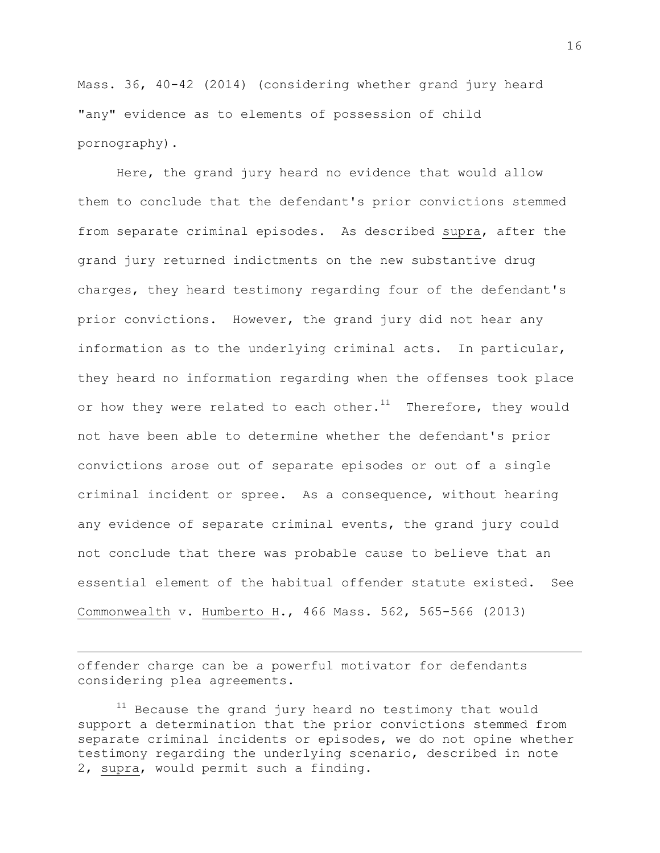Mass. 36, 40-42 (2014) (considering whether grand jury heard "any" evidence as to elements of possession of child pornography).

Here, the grand jury heard no evidence that would allow them to conclude that the defendant's prior convictions stemmed from separate criminal episodes. As described supra, after the grand jury returned indictments on the new substantive drug charges, they heard testimony regarding four of the defendant's prior convictions. However, the grand jury did not hear any information as to the underlying criminal acts. In particular, they heard no information regarding when the offenses took place or how they were related to each other.<sup>11</sup> Therefore, they would not have been able to determine whether the defendant's prior convictions arose out of separate episodes or out of a single criminal incident or spree. As a consequence, without hearing any evidence of separate criminal events, the grand jury could not conclude that there was probable cause to believe that an essential element of the habitual offender statute existed. See Commonwealth v. Humberto H., 466 Mass. 562, 565-566 (2013)

offender charge can be a powerful motivator for defendants considering plea agreements.

i<br>L

 $11$  Because the grand jury heard no testimony that would support a determination that the prior convictions stemmed from separate criminal incidents or episodes, we do not opine whether testimony regarding the underlying scenario, described in note 2, supra, would permit such a finding.

16